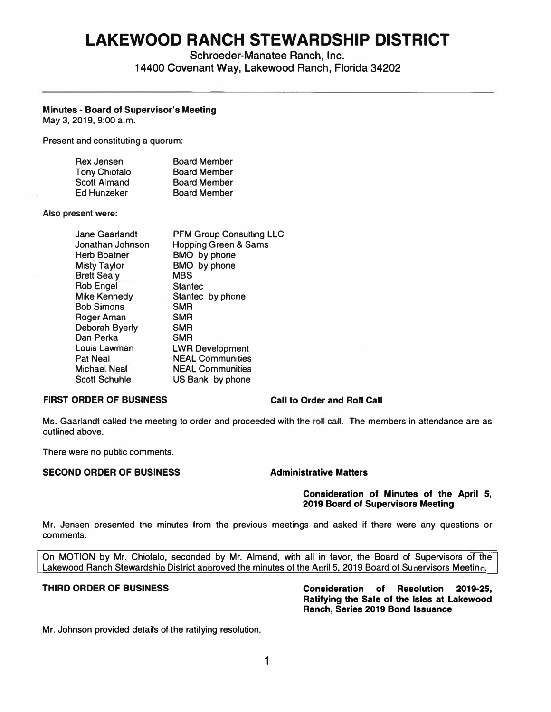# **LAKEWOOD RANCH STEWARDSHIP DISTRICT**

Schroeder-Manatee Ranch, Inc.

14400 Covenant Way, Lakewood Ranch, Florida 34202

### **Minutes** - **Board of Supervisor's Meeting**

May 3, 2019, 9:00 a.m.

Present and constituting a quorum:

| Rex Jensen           | <b>Board Member</b> |
|----------------------|---------------------|
| <b>Tony Chiofalo</b> | <b>Board Member</b> |
| Scott Almand         | <b>Board Member</b> |
| Ed Hunzeker          | <b>Board Member</b> |

Also present **were:** 

| Jane Gaarlandt      | <b>PFM Group Consulting LLC</b> |
|---------------------|---------------------------------|
| Jonathan Johnson    | <b>Hopping Green &amp; Sams</b> |
| <b>Herb Boatner</b> | BMO by phone                    |
| Misty Taylor        | BMO by phone                    |
| <b>Brett Sealy</b>  | <b>MBS</b>                      |
| <b>Rob Engel</b>    | <b>Stantec</b>                  |
| <b>Mike Kennedy</b> | Stantec by phone                |
| <b>Bob Simons</b>   | <b>SMR</b>                      |
| Roger Aman          | <b>SMR</b>                      |
| Deborah Byerly      | <b>SMR</b>                      |
| Dan Perka           | <b>SMR</b>                      |
| Louis Lawman        | <b>LWR Development</b>          |
| <b>Pat Neal</b>     | <b>NEAL Communities</b>         |
| Michael Neal        | <b>NEAL Communities</b>         |
| Scott Schuhlle      | US Bank by phone                |

### **FIRST ORDER OF BUSINESS Call to Order and Roll Call**

Ms. Gaarlandt called the meeting to order and proceeded with the roll call. The members in attendance are as outlined above.

There were no public comments.

### **SECOND ORDER OF BUSINESS Administrative Matters**

#### **Consideration of Minutes of the April 5, 2019 Board of Supervisors Meeting**

Mr. Jensen presented the minutes from the previous meetings and asked if there were any questions or comments.

Lakewood Ranch Stewardship District approved the minutes of the April 5, 2019 Board of Supervisors Meeting. On MOTION by Mr. Chiofalo, seconded by Mr. Almand, with all in favor, the Board of Supervisors of the

**THIRD ORDER OF BUSINESS Consideration of Resolution 2019-25, Ratifying the Sale of the Isles at Lakewood Ranch, Series 2019 Bond Issuance** 

Mr. Johnson provided details of the ratifying resolution.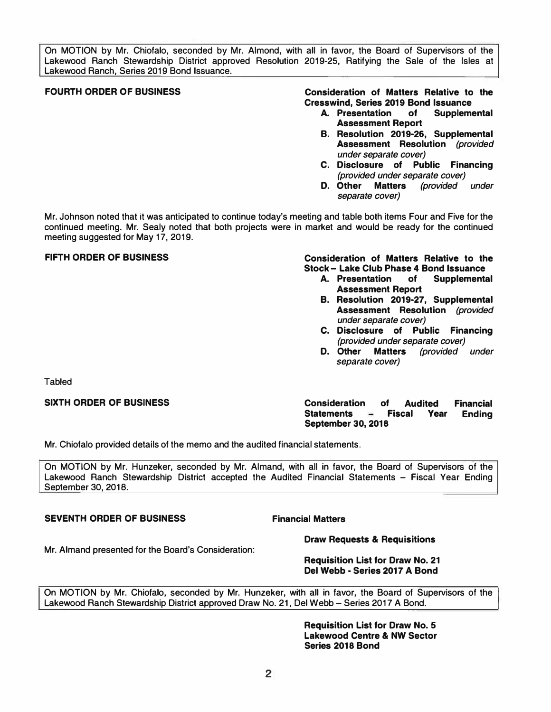On MOTION by Mr. Chiofalo, seconded by Mr. Almond, with all in favor, the Board of Supervisors of the Lakewood Ranch Stewardship District approved Resolution 2019-25, Ratifying the Sale of the Isles at Lakewood Ranch, Series 2019 Bond Issuance.

**FOURTH ORDER OF BUSINESS Consideration of Matters Relative to the Cresswind, Series 2019 Bond Issuance** 

- **A. Presentation of Supplemental Assessment Report**
- **B. Resolution 2019-26, Supplemental Assessment Resolution** *(provided under separate cover)*
- **C. Disclosure of Public Financing**  *(provided under separate cover)*
- **D. Other Matters** *(provided under separate cover)*

Mr. Johnson noted that it was anticipated to continue today's meeting and table both items Four and Five for the continued meeting. Mr. Sealy noted that both projects were in market and would be ready for the continued meeting suggested for May 17, 2019.

## **FIFTH ORDER OF BUSINESS Consideration of Matters Relative to the Stock - Lake Club Phase 4 Bond Issuance**

- **A. Presentation of Assessment Report**
- **B. Resolution 2019-27, Supplemental Assessment Resolution** *(provided under separate cover)*
- **C. Disclosure of Public Financing**  *(provided under separate cover)*
- **D. Other Matters** *(provided under separate cover)*

Tabled

**SIXTH ORDER OF BUSINESS Consideration of Audited Financial Statements - Fiscal Year Ending September 30, 2018** 

Mr. Chiofalo provided details of the memo and the audited financial statements.

On MOTION by Mr. Hunzeker, seconded by Mr. Almand, with all in favor, the Board of Supervisors of the Lakewood Ranch Stewardship District accepted the Audited Financial Statements - Fiscal Year Ending September 30, 2018.

### **SEVENTH ORDER OF BUSINESS Financial Matters**

**Draw Requests** & **Requisitions** 

Mr. Almand presented for the Board's Consideration:

### **Requisition List for Draw No. 21 Del Webb - Series 2017 A Bond**

On MOTION by Mr. Chiofalo, seconded by Mr. Hunzeker, with all in favor, the Board of Supervisors of the Lakewood Ranch Stewardship District approved Draw No. 21, Del Webb - Series 2017 A Bond.

> **Requisition List for Draw No. 5 Lakewood Centre** & **NW Sector Series 2018 Bond**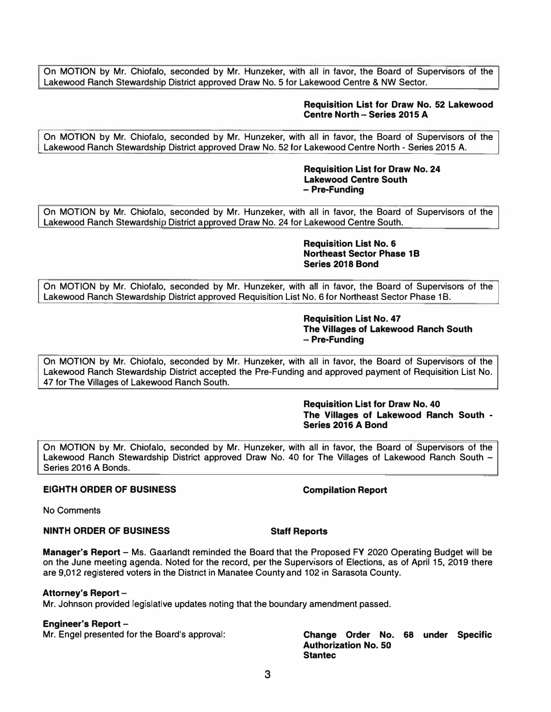On MOTION by Mr. Chiofalo, seconded by Mr. Hunzeker, with all in favor, the Board of Supervisors of the Lakewood Ranch Stewardship District approved Draw No. 5 for Lakewood Centre & NW Sector.

### **Requisition List for Draw No. 52 Lakewood Centre North - Series 2015 A**

On MOTION by Mr. Chiofalo, seconded by Mr. Hunzeker, with all in favor, the Board of Supervisors of the Lakewood Ranch Stewardship District approved Draw No. 52 for Lakewood Centre North - Series 2015 A.

> **Requisition List for Draw No. 24 Lakewood Centre South - Pre-Funding**

Lakewood Ranch Stewardship District approved Draw No. 24 for Lakewood Centre South. On MOTION by Mr. Chiofato, seconded by Mr. Hunzeker, with all in favor, the Board of Supervisors of the

> **Requisition List No. 6 Northeast Sector Phase 1B Series 2018 Bond**

On MOTION by Mr. Chiofalo, seconded by Mr. Hunzeker, with all in favor, the Board of Supervisors of the Lakewood Ranch Stewardship District approved Requisition List No. 6 for Northeast Sector Phase 18.

#### **Requisition List No. 47 The Villages of Lakewood Ranch South - Pre-Funding**

On MOTION by Mr. Chiofalo, seconded by Mr. Hunzeker, with all in favor, the Board of Supervisors of the Lakewood Ranch Stewardship District accepted the Pre-Funding and approved payment of Requisition List No. 47 for The Villages of Lakewood Ranch South.

> **Requisition List for Draw No. 40 The Villages of Lakewood Ranch South - Series 2016 A Bond**

On MOTION by Mr. Chiofalo, seconded by Mr. Hunzeker, with all in favor, the Board of Supervisors of the Lakewood Ranch Stewardship District approved Draw No. 40 for The Villages of Lakewood Ranch South -Series 2016 A Bonds.

### **EIGHTH ORDER OF BUSINESS** Compilation Report

No Comments

### **NINTH ORDER OF BUSINESS Staff Reports**

**Manager's Report -** Ms. Gaarlandt reminded the Board that the Proposed FY 2020 Operating Budget will be on the June meeting agenda. Noted for the record, per the Supervisors of Elections, as of April 15, 2019 there are 9,012 registered voters in the District in Manatee County and 102 in Sarasota County.

### **Attorney's Report -**

Mr. Johnson provided legislative updates noting that the boundary amendment passed.

**Engineer's Report –<br>Mr. Engel presented for the Board's approval:** 

Change Order No. 68 under Specific **Authorization No. so Stantec**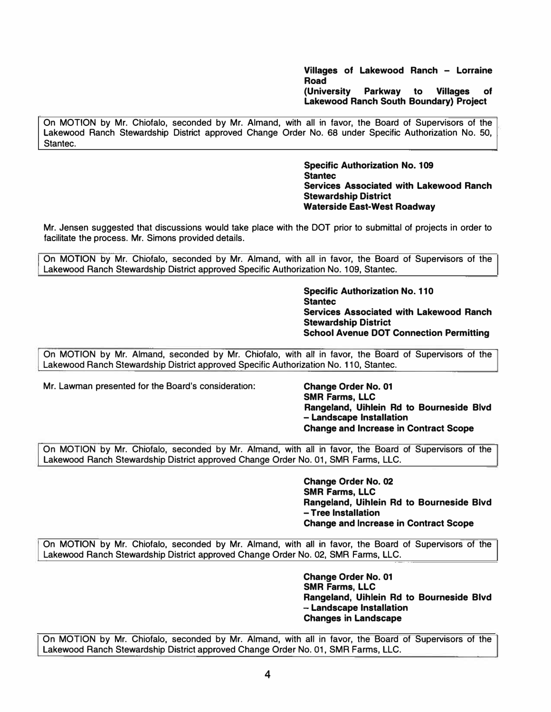**Villages of Lakewood Ranch - Lorraine Road (University Parkway to Villages of Lakewood Ranch South Boundary} Project** 

On MOTION by Mr. Chiofalo, seconded by Mr. Almand, with all in favor, the Board of Supervisors of the Lakewood Ranch Stewardship District approved Change Order No. 68 under Specific Authorization No. 50, Stantec.

> **Specific Authorization No. 109 Stantec Services Associated with Lakewood Ranch Stewardship District Waterside East-West Roadway**

Mr. Jensen suggested that discussions would take place with the DOT prior to submittal of projects in order to facilitate the process. Mr. Simons provided details.

On MOTION by Mr. Chiofalo, seconded by Mr. Almand, with all in favor, the Board of Supervisors of the Lakewood Ranch Stewardship District approved Specific Authorization No. 109, Stantec.

> **Specific Authorization No. 110 Stantec Services Associated with Lakewood Ranch Stewardship District School Avenue DOT Connection Permitting**

On MOTION by Mr. Almand, seconded by Mr. Chiofalo, with all in favor, the Board of Supervisors of the Lakewood Ranch Stewardship District approved Specific Authorization No. 110, Stantec.

Mr. Lawman presented for the Board's consideration: **Change Order No. 01** 

**SMR Farms, LLC Rangeland, Uihlein Rd to Bourneside Blvd - Landscape Installation Change and Increase in Contract Scope** 

On MOTION by Mr. Chiofalo, seconded by Mr. Almand, with all in favor, the Board of Supervisors of the Lakewood Ranch Stewardship District approved Change Order No. 01, SMR Farms, LLC.

> **Change Order No. 02 SMR Farms, LLC Rangeland, Uihlein Rd to Bourneside Blvd - Tree Installation Change and Increase in Contract Scope**

On MOTION by Mr. Chiofalo, seconded by Mr. Almand, with all in favor, the Board of Supervisors of the Lakewood Ranch Stewardship District approved Change Order No. 02, SMR Farms, LLC.

> **Change Order No. 01 SMR Farms, LLC Rangeland, Uihlein Rd to Bourneside Blvd - Landscape Installation Changes in Landscape**

On MOTION by Mr. Chiofalo, seconded by Mr. Almand, with all in favor, the Board of Supervisors of the Lakewood Ranch Stewardship District approved Change Order No. 01, SMR Farms, LLC.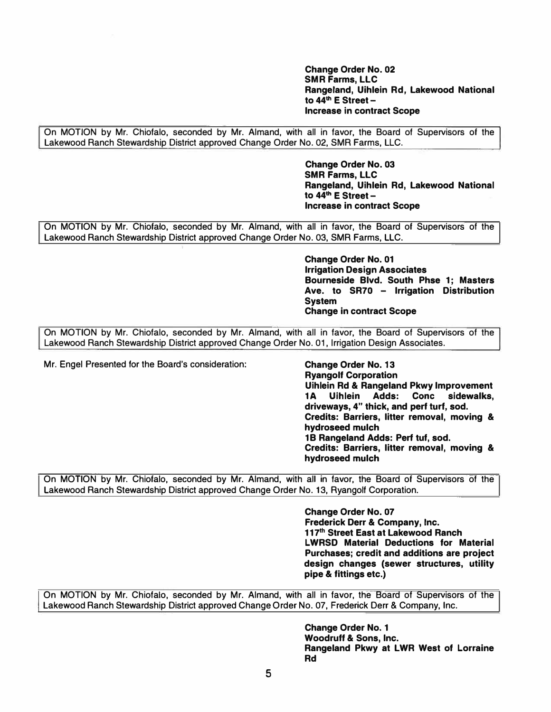**Change Order No. 02 SMR Farms, LLC Rangeland, Uihlein Rd, Lakewood National to 44th E Street - Increase in contract Scope** 

On MOTION by Mr. Chiofalo, seconded by Mr. Almand, with all in favor, the Board of Supervisors of the Lakewood Ranch Stewardship District approved Change Order No. 02, SMR Farms, LLC.

> **Change Order No. 03 SMR Farms, LLC Rangeland, Uihlein Rd, Lakewood National to 44th E Street - Increase in contract Scope**

On MOTION by Mr. Chiofato, seconded by Mr. Almand, with all in favor, the Board of Supervisors of the Lakewood Ranch Stewardship District approved Change Order No. 03, SMR Farms, LLC.

> **Change Order No. 01 Irrigation Design Associates Bourneside Blvd. South Phse 1; Masters Ave. to SR70 - Irrigation Distribution System Change in contract Scope**

On MOTION by Mr. Chiofalo, seconded by Mr. Almand, with all in favor, the Board of Supervisors of the Lakewood Ranch Stewardship District approved Change Order No. 01, Irrigation Design Associates.

Mr. Engel Presented for the Board's consideration: **Change Order No. 13** 

**Ryangolf Corporation Uihlein Rd** & **Rangeland Pkwy Improvement 1 A Uihlein Adds: Cone sidewalks, driveways, 4" thick, and perf** turf, **sod. Credits: Barriers, litter removal, moving** & **hydroseed** mulch **1 B Rangeland Adds: Perf tuf, sod. Credits: Barriers, litter removal, moving** & **hydroseed** mulch

On MOTION by Mr. Chiofalo, seconded by Mr. Almand, with all in favor, the Board of Supervisors of the Lakewood Ranch Stewardship District approved Change Order No. 13, Ryangolf Corporation.

> **Change Order No. 07 Frederick Derr** & **Company, Inc. 117th Street East at Lakewood Ranch LWRSD Material Deductions for Material Purchases; credit and additions are project design changes (sewer structures, utility pipe & fittings etc.)**

On MOTION by Mr. Chiofalo, seconded by Mr. Almand, with all in favor, the Board of Supervisors of the Lakewood Ranch Stewardship District approved Change Order No. 07, Frederick Derr & Company, Inc.

> **Change Order No. 1 Woodruff** & **Sons, Inc. Rangeland Pkwy at LWR West of Lorraine Rd**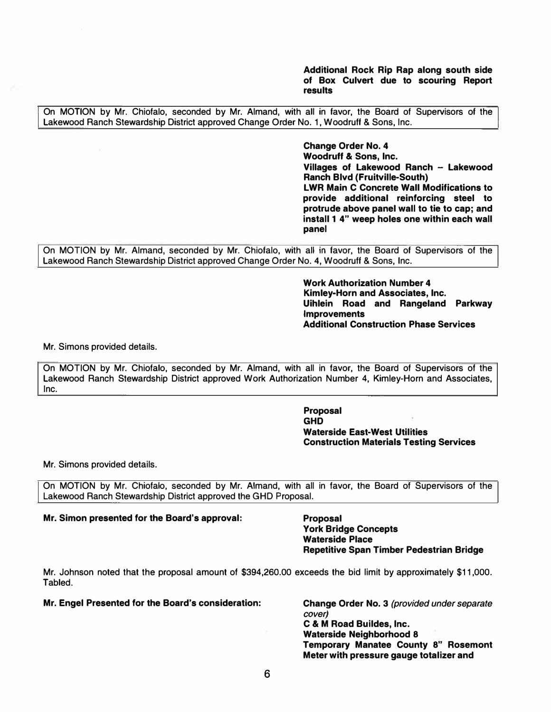**Additional Rock Rip Rap along south side of Box Culvert due to scouring Report results** 

On MOTION by Mr. Chiofalo, seconded by Mr. Almand, with all in favor, the Board of Supervisors of the Lakewood Ranch Stewardship District approved Change Order No. 1, Woodruff & Sons, Inc.

> **Change Order No. 4 Woodruff & Sons, Inc. Villages of Lakewood Ranch - Lakewood Ranch Blvd (Fruitville-South) LWR Main C Concrete Wall Modifications to provide additional reinforcing steel to protrude above panel wall to tie to cap; and install 1 4" weep holes one within each wall panel**

On MOTION by Mr. Almand, seconded by Mr. Chiofalo, with all in favor, the Board of Supervisors of the Lakewood Ranch Stewardship District approved Change Order No. **4,** Woodruff & Sons, Inc.

> **Work Authorization Number 4 Kimley-Horn and Associates, Inc. Uihlein Road and Rangeland Parkway Improvements Additional Construction Phase Services**

Mr. Simons provided details.

On MOTION by Mr. Chiofalo, seconded by Mr. Almand, with all in favor, the Board of Supervisors of the Lakewood Ranch Stewardship District approved Work Authorization Number 4, Kimley-Horn and Associates, Inc.

> **Proposal GHD Waterside East-West Utilities Construction Materials Testing Services**

Mr. Simons provided details.

On MOTION by Mr. Chiofalo, seconded by Mr. Almand, with all in favor, the Board of Supervisors of the Lakewood Ranch Stewardship District approved the GHD Proposal.

**Mr. Simon presented for the Board's approval: Proposal**

**York Bridge Concepts Waterside Place Repetitive Span Timber Pedestrian Bridge** 

Mr. Johnson noted that the proposal amount of \$[394,260.00](https://394,260.00) exceeds the bid limit by approximately \$11,000. Tabled.

**Mr. Engel Presented for the Board's consideration: Change Order No. 3** *(provided under separate* 

*cover)* **C & M Road Buildes,** Inc. **Waterside Neighborhood 8 Temporary Manatee County 8" Rosemont Meter with pressure gauge totalizer and**